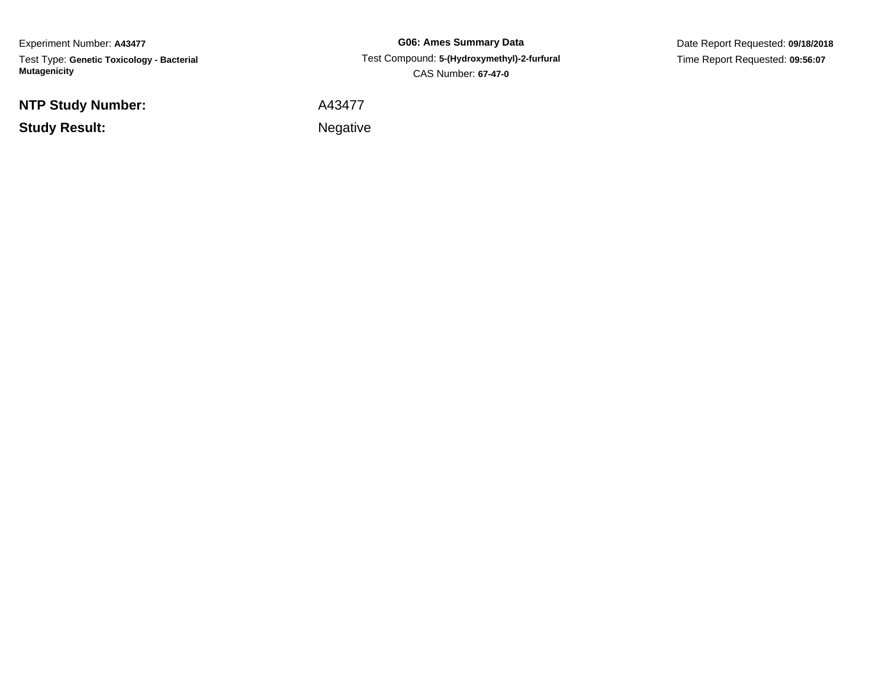Experiment Number: **A43477**Test Type: **Genetic Toxicology - Bacterial Mutagenicity**

**NTP Study Number:**

**Study Result:**

**G06: Ames Summary Data** Test Compound: **5-(Hydroxymethyl)-2-furfural**CAS Number: **67-47-0**

Date Report Requested: **09/18/2018**Time Report Requested: **09:56:07**

A43477

**Example 2** is a set of the set of the Negative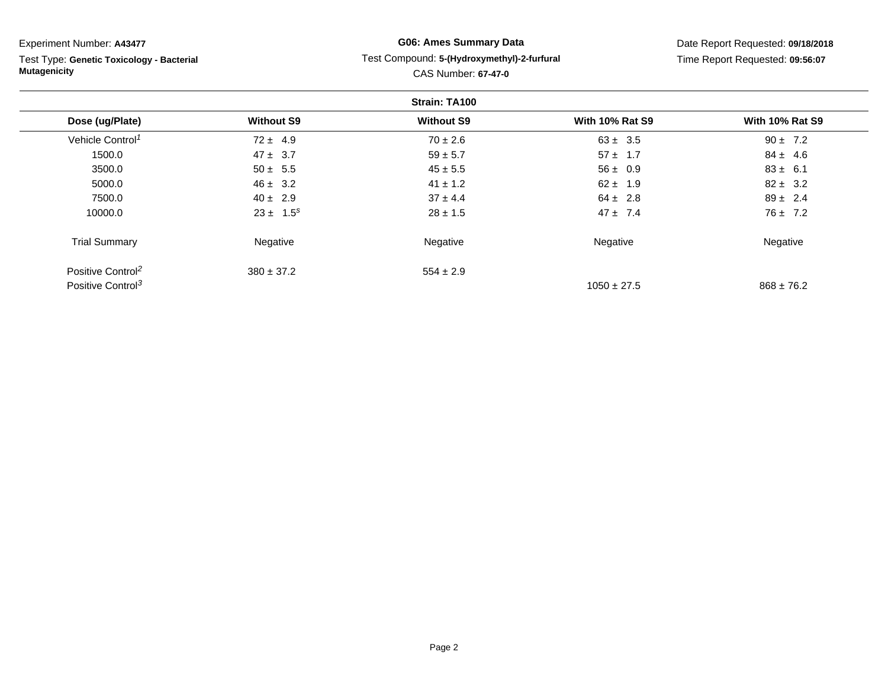| Experiment Number: A43477                 | <b>G06: Ames Summary Data</b><br>Test Compound: 5-(Hydroxymethyl)-2-furfural<br><b>CAS Number: 67-47-0</b> |                   |                        | Date Report Requested: 09/18/2018<br>Time Report Requested: 09:56:07 |  |  |  |  |
|-------------------------------------------|------------------------------------------------------------------------------------------------------------|-------------------|------------------------|----------------------------------------------------------------------|--|--|--|--|
| Test Type: Genetic Toxicology - Bacterial |                                                                                                            |                   |                        |                                                                      |  |  |  |  |
| <b>Mutagenicity</b>                       |                                                                                                            |                   |                        |                                                                      |  |  |  |  |
| Strain: TA100                             |                                                                                                            |                   |                        |                                                                      |  |  |  |  |
| Dose (ug/Plate)                           | <b>Without S9</b>                                                                                          | <b>Without S9</b> | <b>With 10% Rat S9</b> | <b>With 10% Rat S9</b>                                               |  |  |  |  |
| Vehicle Control <sup>1</sup>              | $72 \pm 4.9$                                                                                               | $70 \pm 2.6$      | $63 \pm 3.5$           | $90 \pm 7.2$                                                         |  |  |  |  |
| 1500.0                                    | $47 \pm 3.7$                                                                                               | $59 \pm 5.7$      | $57 \pm 1.7$           | $84 \pm 4.6$                                                         |  |  |  |  |
| 3500.0                                    | $50 \pm 5.5$                                                                                               | $45 \pm 5.5$      | $56 \pm 0.9$           | $83 \pm 6.1$                                                         |  |  |  |  |
| 5000.0                                    | $46 \pm 3.2$                                                                                               | $41 \pm 1.2$      | $62 \pm 1.9$           | $82 \pm 3.2$                                                         |  |  |  |  |
| 7500.0                                    | $40 \pm 2.9$                                                                                               | $37 \pm 4.4$      | $64 \pm 2.8$           | $89 \pm 2.4$                                                         |  |  |  |  |
| 10000.0                                   | $23 \pm 1.5^s$                                                                                             | $28 \pm 1.5$      | $47 \pm 7.4$           | $76 \pm 7.2$                                                         |  |  |  |  |
| <b>Trial Summary</b>                      | Negative                                                                                                   | Negative          | Negative               | Negative                                                             |  |  |  |  |
| Positive Control <sup>2</sup>             | $380 \pm 37.2$                                                                                             | $554 \pm 2.9$     |                        |                                                                      |  |  |  |  |
| Positive Control <sup>3</sup>             |                                                                                                            |                   | $1050 \pm 27.5$        | $868 \pm 76.2$                                                       |  |  |  |  |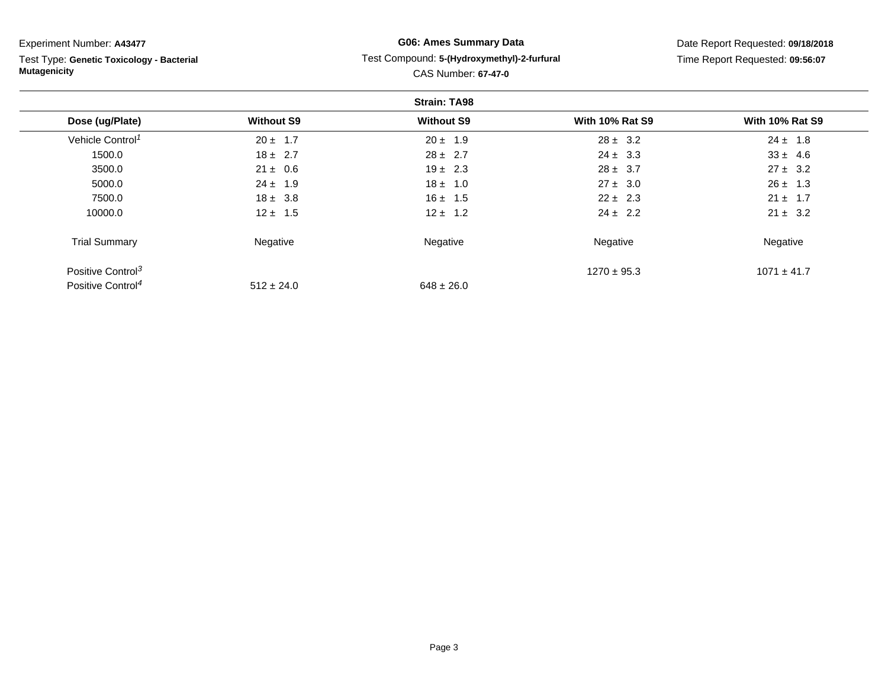| Experiment Number: A43477                 | <b>G06: Ames Summary Data</b> |                                             |                                 | Date Report Requested: 09/18/2018 |  |  |  |  |
|-------------------------------------------|-------------------------------|---------------------------------------------|---------------------------------|-----------------------------------|--|--|--|--|
| Test Type: Genetic Toxicology - Bacterial |                               | Test Compound: 5-(Hydroxymethyl)-2-furfural | Time Report Requested: 09:56:07 |                                   |  |  |  |  |
| <b>Mutagenicity</b>                       | <b>CAS Number: 67-47-0</b>    |                                             |                                 |                                   |  |  |  |  |
| <b>Strain: TA98</b>                       |                               |                                             |                                 |                                   |  |  |  |  |
| Dose (ug/Plate)                           | <b>Without S9</b>             | <b>Without S9</b>                           | <b>With 10% Rat S9</b>          | <b>With 10% Rat S9</b>            |  |  |  |  |
| Vehicle Control <sup>1</sup>              | $20 \pm 1.7$                  | $20 \pm 1.9$                                | $28 \pm 3.2$                    | $24 \pm 1.8$                      |  |  |  |  |
| 1500.0                                    | $18 \pm 2.7$                  | $28 \pm 2.7$                                | $24 \pm 3.3$                    | $33 \pm 4.6$                      |  |  |  |  |
| 3500.0                                    | $21 \pm 0.6$                  | $19 \pm 2.3$                                | $28 \pm 3.7$                    | $27 \pm 3.2$                      |  |  |  |  |
| 5000.0                                    | $24 \pm 1.9$                  | $18 \pm 1.0$                                | $27 \pm 3.0$                    | $26 \pm 1.3$                      |  |  |  |  |
| 7500.0                                    | $18 \pm 3.8$                  | $16 \pm 1.5$                                | $22 \pm 2.3$                    | $21 \pm 1.7$                      |  |  |  |  |
| 10000.0                                   | $12 \pm 1.5$                  | $12 \pm 1.2$                                | $24 \pm 2.2$                    | $21 \pm 3.2$                      |  |  |  |  |
| <b>Trial Summary</b>                      | Negative                      | Negative                                    | Negative                        | Negative                          |  |  |  |  |
| Positive Control <sup>3</sup>             |                               |                                             | $1270 \pm 95.3$                 | $1071 \pm 41.7$                   |  |  |  |  |
| Positive Control <sup>4</sup>             | $512 \pm 24.0$                | $648 \pm 26.0$                              |                                 |                                   |  |  |  |  |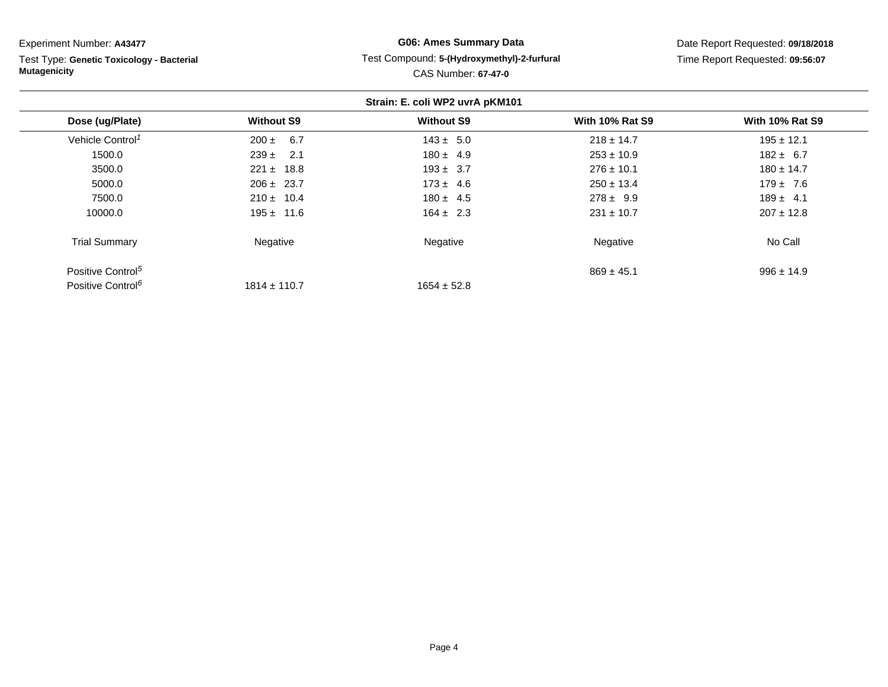Experiment Number: **A43477**

Test Type: **Genetic Toxicology - Bacterial Mutagenicity**

## **G06: Ames Summary Data** Test Compound: **5-(Hydroxymethyl)-2-furfural**CAS Number: **67-47-0**

Date Report Requested: **09/18/2018**Time Report Requested: **09:56:07**

|                               |                   | Strain: E. coli WP2 uvrA pKM101 |                        |                        |
|-------------------------------|-------------------|---------------------------------|------------------------|------------------------|
| Dose (ug/Plate)               | <b>Without S9</b> | <b>Without S9</b>               | <b>With 10% Rat S9</b> | <b>With 10% Rat S9</b> |
| Vehicle Control <sup>1</sup>  | $200 \pm 6.7$     | $143 \pm 5.0$                   | $218 \pm 14.7$         | $195 \pm 12.1$         |
| 1500.0                        | $239 \pm 2.1$     | $180 \pm 4.9$                   | $253 \pm 10.9$         | $182 \pm 6.7$          |
| 3500.0                        | $221 \pm 18.8$    | $193 \pm 3.7$                   | $276 \pm 10.1$         | $180 \pm 14.7$         |
| 5000.0                        | $206 \pm 23.7$    | $173 \pm 4.6$                   | $250 \pm 13.4$         | $179 \pm 7.6$          |
| 7500.0                        | $210 \pm 10.4$    | $180 \pm 4.5$                   | $278 \pm 9.9$          | $189 \pm 4.1$          |
| 10000.0                       | $195 \pm 11.6$    | $164 \pm 2.3$                   | $231 \pm 10.7$         | $207 \pm 12.8$         |
| <b>Trial Summary</b>          | Negative          | Negative                        | Negative               | No Call                |
| Positive Control <sup>5</sup> |                   |                                 | $869 \pm 45.1$         | $996 \pm 14.9$         |
| Positive Control <sup>6</sup> | $1814 \pm 110.7$  | $1654 \pm 52.8$                 |                        |                        |